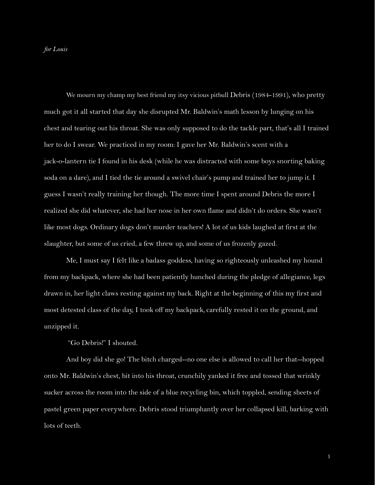We mourn my champ my best friend my itsy vicious pitbull Debris (1984-1991), who pretty much got it all started that day she disrupted Mr. Baldwin's math lesson by lunging on his chest and tearing out his throat. She was only supposed to do the tackle part, that's all I trained her to do I swear. We practiced in my room: I gave her Mr. Baldwin's scent with a jack-o-lantern tie I found in his desk (while he was distracted with some boys snorting baking soda on a dare), and I tied the tie around a swivel chair's pump and trained her to jump it. I guess I wasn't really training her though. The more time I spent around Debris the more I realized she did whatever, she had her nose in her own flame and didn't do orders. She wasn't like most dogs. Ordinary dogs don't murder teachers! A lot of us kids laughed at first at the slaughter, but some of us cried, a few threw up, and some of us frozenly gazed.

Me, I must say I felt like a badass goddess, having so righteously unleashed my hound from my backpack, where she had been patiently hunched during the pledge of allegiance, legs drawn in, her light claws resting against my back. Right at the beginning of this my first and most detested class of the day, I took off my backpack, carefully rested it on the ground, and unzipped it.

"Go Debris!" I shouted.

And boy did she go! The bitch charged--no one else is allowed to call her that--hopped onto Mr. Baldwin's chest, bit into his throat, crunchily yanked it free and tossed that wrinkly sucker across the room into the side of a blue recycling bin, which toppled, sending sheets of pastel green paper everywhere. Debris stood triumphantly over her collapsed kill, barking with lots of teeth.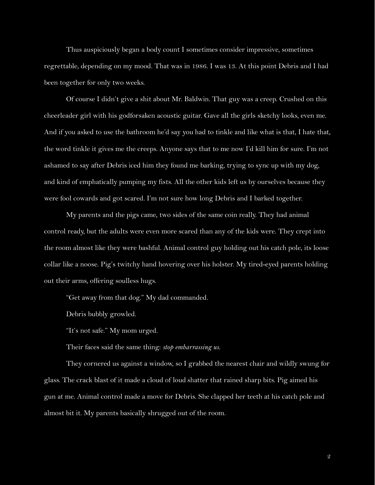Thus auspiciously began a body count I sometimes consider impressive, sometimes regrettable, depending on my mood. That was in 1986. I was 13. At this point Debris and I had been together for only two weeks.

Of course I didn't give a shit about Mr. Baldwin. That guy was a creep. Crushed on this cheerleader girl with his godforsaken acoustic guitar. Gave all the girls sketchy looks, even me. And if you asked to use the bathroom he'd say you had to tinkle and like what is that, I hate that, the word tinkle it gives me the creeps. Anyone says that to me now I'd kill him for sure. I'm not ashamed to say after Debris iced him they found me barking, trying to sync up with my dog, and kind of emphatically pumping my fists. All the other kids left us by ourselves because they were fool cowards and got scared. I'm not sure how long Debris and I barked together.

My parents and the pigs came, two sides of the same coin really. They had animal control ready, but the adults were even more scared than any of the kids were. They crept into the room almost like they were bashful. Animal control guy holding out his catch pole, its loose collar like a noose. Pig's twitchy hand hovering over his holster. My tired-eyed parents holding out their arms, offering soulless hugs.

"Get away from that dog." My dad commanded.

Debris bubbly growled.

"It's not safe." My mom urged.

Their faces said the same thing: *stop embarrassing us.*

They cornered us against a window, so I grabbed the nearest chair and wildly swung for glass. The crack blast of it made a cloud of loud shatter that rained sharp bits. Pig aimed his gun at me. Animal control made a move for Debris. She clapped her teeth at his catch pole and almost bit it. My parents basically shrugged out of the room.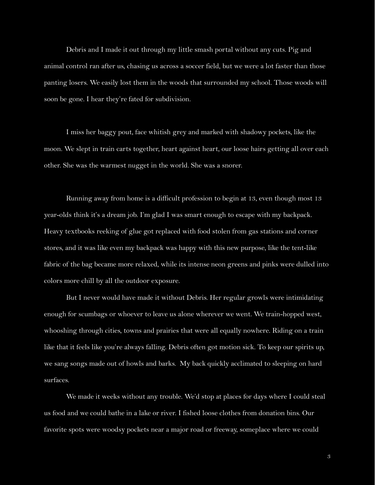Debris and I made it out through my little smash portal without any cuts. Pig and animal control ran after us, chasing us across a soccer field, but we were a lot faster than those panting losers. We easily lost them in the woods that surrounded my school. Those woods will soon be gone. I hear they're fated for subdivision.

I miss her baggy pout, face whitish grey and marked with shadowy pockets, like the moon. We slept in train carts together, heart against heart, our loose hairs getting all over each other. She was the warmest nugget in the world. She was a snorer.

Running away from home is a difficult profession to begin at 13, even though most 13 year-olds think it's a dream job. I'm glad I was smart enough to escape with my backpack. Heavy textbooks reeking of glue got replaced with food stolen from gas stations and corner stores, and it was like even my backpack was happy with this new purpose, like the tent-like fabric of the bag became more relaxed, while its intense neon greens and pinks were dulled into colors more chill by all the outdoor exposure.

But I never would have made it without Debris. Her regular growls were intimidating enough for scumbags or whoever to leave us alone wherever we went. We train-hopped west, whooshing through cities, towns and prairies that were all equally nowhere. Riding on a train like that it feels like you're always falling. Debris often got motion sick. To keep our spirits up, we sang songs made out of howls and barks. My back quickly acclimated to sleeping on hard surfaces.

We made it weeks without any trouble. We'd stop at places for days where I could steal us food and we could bathe in a lake or river. I fished loose clothes from donation bins. Our favorite spots were woodsy pockets near a major road or freeway, someplace where we could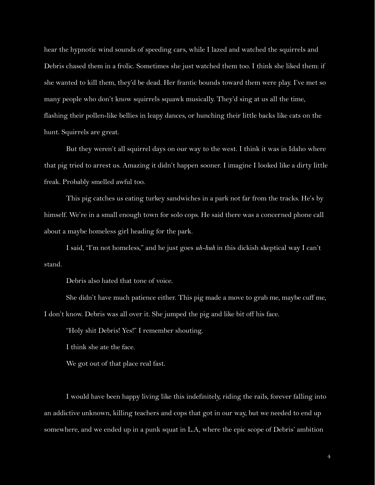hear the hypnotic wind sounds of speeding cars, while I lazed and watched the squirrels and Debris chased them in a frolic. Sometimes she just watched them too. I think she liked them: if she wanted to kill them, they'd be dead. Her frantic bounds toward them were play. I've met so many people who don't know squirrels squawk musically. They'd sing at us all the time, flashing their pollen-like bellies in leapy dances, or hunching their little backs like cats on the hunt. Squirrels are great.

But they weren't all squirrel days on our way to the west. I think it was in Idaho where that pig tried to arrest us. Amazing it didn't happen sooner. I imagine I looked like a dirty little freak. Probably smelled awful too.

This pig catches us eating turkey sandwiches in a park not far from the tracks. He's by himself. We're in a small enough town for solo cops. He said there was a concerned phone call about a maybe homeless girl heading for the park.

I said, "I'm not homeless," and he just goes *uh-huh* in this dickish skeptical way I can't stand.

Debris also hated that tone of voice.

She didn't have much patience either. This pig made a move to grab me, maybe cuff me, I don't know. Debris was all over it. She jumped the pig and like bit off his face.

"Holy shit Debris! Yes!" I remember shouting.

I think she ate the face.

We got out of that place real fast.

I would have been happy living like this indefinitely, riding the rails, forever falling into an addictive unknown, killing teachers and cops that got in our way, but we needed to end up somewhere, and we ended up in a punk squat in L.A, where the epic scope of Debris' ambition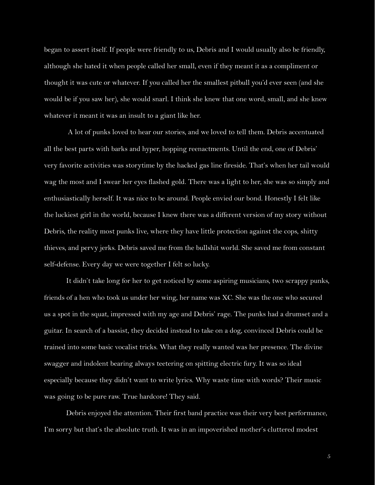began to assert itself. If people were friendly to us, Debris and I would usually also be friendly, although she hated it when people called her small, even if they meant it as a compliment or thought it was cute or whatever. If you called her the smallest pitbull you'd ever seen (and she would be if you saw her), she would snarl. I think she knew that one word, small, and she knew whatever it meant it was an insult to a giant like her.

A lot of punks loved to hear our stories, and we loved to tell them. Debris accentuated all the best parts with barks and hyper, hopping reenactments. Until the end, one of Debris' very favorite activities was storytime by the hacked gas line fireside. That's when her tail would wag the most and I swear her eyes flashed gold. There was a light to her, she was so simply and enthusiastically herself. It was nice to be around. People envied our bond. Honestly I felt like the luckiest girl in the world, because I knew there was a different version of my story without Debris, the reality most punks live, where they have little protection against the cops, shitty thieves, and pervy jerks. Debris saved me from the bullshit world. She saved me from constant self-defense. Every day we were together I felt so lucky.

It didn't take long for her to get noticed by some aspiring musicians, two scrappy punks, friends of a hen who took us under her wing, her name was XC. She was the one who secured us a spot in the squat, impressed with my age and Debris' rage. The punks had a drumset and a guitar. In search of a bassist, they decided instead to take on a dog, convinced Debris could be trained into some basic vocalist tricks. What they really wanted was her presence. The divine swagger and indolent bearing always teetering on spitting electric fury. It was so ideal especially because they didn't want to write lyrics. Why waste time with words? Their music was going to be pure raw. True hardcore! They said.

Debris enjoyed the attention. Their first band practice was their very best performance, I'm sorry but that's the absolute truth. It was in an impoverished mother's cluttered modest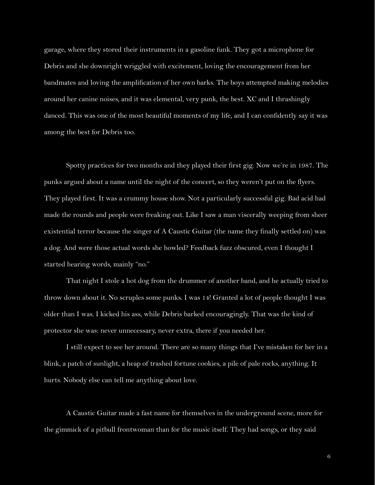garage, where they stored their instruments in a gasoline funk. They got a microphone for Debris and she downright wriggled with excitement, loving the encouragement from her bandmates and loving the amplification of her own barks. The boys attempted making melodies around her canine noises, and it was elemental, very punk, the best. XC and I thrashingly danced. This was one of the most beautiful moments of my life, and I can confidently say it was among the best for Debris too.

Spotty practices for two months and they played their first gig. Now we're in 1987. The punks argued about a name until the night of the concert, so they weren't put on the flyers. They played first. It was a crummy house show. Not a particularly successful gig. Bad acid had made the rounds and people were freaking out. Like I saw a man viscerally weeping from sheer existential terror because the singer of A Caustic Guitar (the name they finally settled on) was a dog. And were those actual words she howled? Feedback fuzz obscured, even I thought I started hearing words, mainly "no."

That night I stole a hot dog from the drummer of another band, and he actually tried to throw down about it. No scruples some punks. I was 14! Granted a lot of people thought I was older than I was. I kicked his ass, while Debris barked encouragingly. That was the kind of protector she was: never unnecessary, never extra, there if you needed her.

I still expect to see her around. There are so many things that I've mistaken for her in a blink, a patch of sunlight, a heap of trashed fortune cookies, a pile of pale rocks, anything. It hurts. Nobody else can tell me anything about love.

A Caustic Guitar made a fast name for themselves in the underground scene, more for the gimmick of a pitbull frontwoman than for the music itself. They had songs, or they said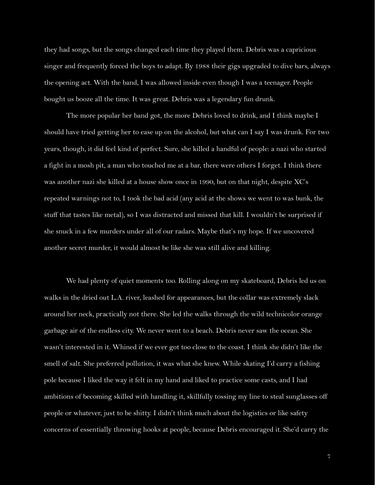they had songs, but the songs changed each time they played them. Debris was a capricious singer and frequently forced the boys to adapt. By 1988 their gigs upgraded to dive bars, always the opening act. With the band, I was allowed inside even though I was a teenager. People bought us booze all the time. It was great. Debris was a legendary fun drunk.

The more popular her band got, the more Debris loved to drink, and I think maybe I should have tried getting her to ease up on the alcohol, but what can I say I was drunk. For two years, though, it did feel kind of perfect. Sure, she killed a handful of people: a nazi who started a fight in a mosh pit, a man who touched me at a bar, there were others I forget. I think there was another nazi she killed at a house show once in 1990, but on that night, despite XC's repeated warnings not to, I took the bad acid (any acid at the shows we went to was bunk, the stuff that tastes like metal), so I was distracted and missed that kill. I wouldn't be surprised if she snuck in a few murders under all of our radars. Maybe that's my hope. If we uncovered another secret murder, it would almost be like she was still alive and killing.

We had plenty of quiet moments too. Rolling along on my skateboard, Debris led us on walks in the dried out L.A. river, leashed for appearances, but the collar was extremely slack around her neck, practically not there. She led the walks through the wild technicolor orange garbage air of the endless city. We never went to a beach. Debris never saw the ocean. She wasn't interested in it. Whined if we ever got too close to the coast. I think she didn't like the smell of salt. She preferred pollution, it was what she knew. While skating I'd carry a fishing pole because I liked the way it felt in my hand and liked to practice some casts, and I had ambitions of becoming skilled with handling it, skillfully tossing my line to steal sunglasses off people or whatever, just to be shitty. I didn't think much about the logistics or like safety concerns of essentially throwing hooks at people, because Debris encouraged it. She'd carry the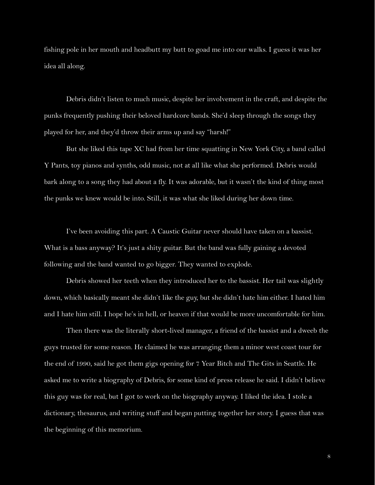fishing pole in her mouth and headbutt my butt to goad me into our walks. I guess it was her idea all along.

Debris didn't listen to much music, despite her involvement in the craft, and despite the punks frequently pushing their beloved hardcore bands. She'd sleep through the songs they played for her, and they'd throw their arms up and say "harsh!"

But she liked this tape XC had from her time squatting in New York City, a band called Y Pants, toy pianos and synths, odd music, not at all like what she performed. Debris would bark along to a song they had about a fly. It was adorable, but it wasn't the kind of thing most the punks we knew would be into. Still, it was what she liked during her down time.

I've been avoiding this part. A Caustic Guitar never should have taken on a bassist. What is a bass anyway? It's just a shity guitar. But the band was fully gaining a devoted following and the band wanted to go bigger. They wanted to explode.

Debris showed her teeth when they introduced her to the bassist. Her tail was slightly down, which basically meant she didn't like the guy, but she didn't hate him either. I hated him and I hate him still. I hope he's in hell, or heaven if that would be more uncomfortable for him.

Then there was the literally short-lived manager, a friend of the bassist and a dweeb the guys trusted for some reason. He claimed he was arranging them a minor west coast tour for the end of 1990, said he got them gigs opening for 7 Year Bitch and The Gits in Seattle. He asked me to write a biography of Debris, for some kind of press release he said. I didn't believe this guy was for real, but I got to work on the biography anyway. I liked the idea. I stole a dictionary, thesaurus, and writing stuff and began putting together her story. I guess that was the beginning of this memorium.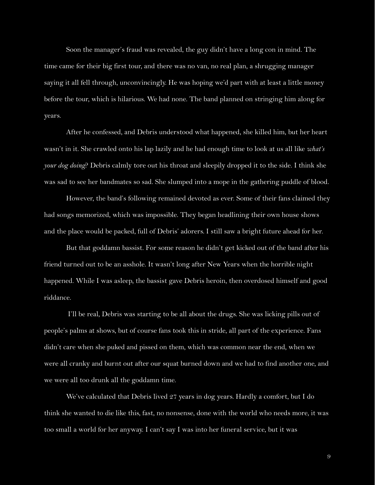Soon the manager's fraud was revealed, the guy didn't have a long con in mind. The time came for their big first tour, and there was no van, no real plan, a shrugging manager saying it all fell through, unconvincingly. He was hoping we'd part with at least a little money before the tour, which is hilarious. We had none. The band planned on stringing him along for years.

After he confessed, and Debris understood what happened, she killed him, but her heart wasn't in it. She crawled onto his lap lazily and he had enough time to look at us all like *what's your dog doing*? Debris calmly tore out his throat and sleepily dropped it to the side. I think she was sad to see her bandmates so sad. She slumped into a mope in the gathering puddle of blood.

However, the band's following remained devoted as ever. Some of their fans claimed they had songs memorized, which was impossible. They began headlining their own house shows and the place would be packed, full of Debris' adorers. I still saw a bright future ahead for her.

But that goddamn bassist. For some reason he didn't get kicked out of the band after his friend turned out to be an asshole. It wasn't long after New Years when the horrible night happened. While I was asleep, the bassist gave Debris heroin, then overdosed himself and good riddance.

I'll be real, Debris was starting to be all about the drugs. She was licking pills out of people's palms at shows, but of course fans took this in stride, all part of the experience. Fans didn't care when she puked and pissed on them, which was common near the end, when we were all cranky and burnt out after our squat burned down and we had to find another one, and we were all too drunk all the goddamn time.

We've calculated that Debris lived 27 years in dog years. Hardly a comfort, but I do think she wanted to die like this, fast, no nonsense, done with the world who needs more, it was too small a world for her anyway. I can't say I was into her funeral service, but it was